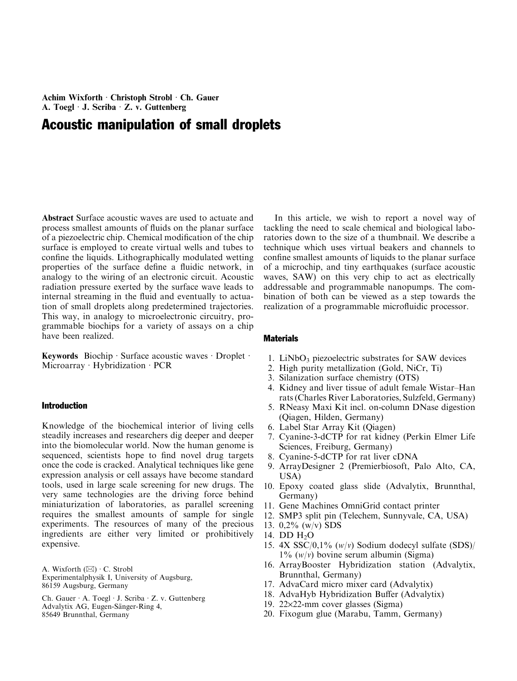Achim Wixforth · Christoph Strobl · Ch. Gauer A. Toegl · J. Scriba · Z. v. Guttenberg

# Acoustic manipulation of small droplets

Abstract Surface acoustic waves are used to actuate and process smallest amounts of fluids on the planar surface of a piezoelectric chip. Chemical modification of the chip surface is employed to create virtual wells and tubes to confine the liquids. Lithographically modulated wetting properties of the surface define a fluidic network, in analogy to the wiring of an electronic circuit. Acoustic radiation pressure exerted by the surface wave leads to internal streaming in the fluid and eventually to actuation of small droplets along predetermined trajectories. This way, in analogy to microelectronic circuitry, programmable biochips for a variety of assays on a chip have been realized.

Keywords Biochip · Surface acoustic waves · Droplet · Microarray  $\cdot$  Hybridization  $\cdot$  PCR

## Introduction

Knowledge of the biochemical interior of living cells steadily increases and researchers dig deeper and deeper into the biomolecular world. Now the human genome is sequenced, scientists hope to find novel drug targets once the code is cracked. Analytical techniques like gene expression analysis or cell assays have become standard tools, used in large scale screening for new drugs. The very same technologies are the driving force behind miniaturization of laboratories, as parallel screening requires the smallest amounts of sample for single experiments. The resources of many of the precious ingredients are either very limited or prohibitively expensive.

A. Wixforth  $(\boxtimes) \cdot C$ . Strobl Experimentalphysik I, University of Augsburg, 86159 Augsburg, Germany

Ch. Gauer  $\cdot$  A. Toegl  $\cdot$  J. Scriba  $\cdot$  Z. v. Guttenberg Advalytix AG, Eugen-Sänger-Ring 4, 85649 Brunnthal, Germany

In this article, we wish to report a novel way of tackling the need to scale chemical and biological laboratories down to the size of a thumbnail. We describe a technique which uses virtual beakers and channels to confine smallest amounts of liquids to the planar surface of a microchip, and tiny earthquakes (surface acoustic waves, SAW) on this very chip to act as electrically addressable and programmable nanopumps. The combination of both can be viewed as a step towards the realization of a programmable microfluidic processor.

#### **Materials**

- 1. LiNbO<sub>3</sub> piezoelectric substrates for SAW devices
- 2. High purity metallization (Gold, NiCr, Ti)
- 3. Silanization surface chemistry (OTS)
- 4. Kidney and liver tissue of adult female Wistar–Han rats(Charles River Laboratories, Sulzfeld, Germany)
- 5. RNeasy Maxi Kit incl. on-column DNase digestion (Qiagen, Hilden, Germany)
- 6. Label Star Array Kit (Qiagen)
- 7. Cyanine-3-dCTP for rat kidney (Perkin Elmer Life Sciences, Freiburg, Germany)
- 8. Cyanine-5-dCTP for rat liver cDNA
- 9. ArrayDesigner 2 (Premierbiosoft, Palo Alto, CA, USA)
- 10. Epoxy coated glass slide (Advalytix, Brunnthal, Germany)
- 11. Gene Machines OmniGrid contact printer
- 12. SMP3 split pin (Telechem, Sunnyvale, CA, USA)
- 13. 0,2% (w/v) SDS
- 14. DD H<sub>2</sub>O
- 15. 4X SSC/0,1%  $(w/v)$  Sodium dodecyl sulfate (SDS)/  $1\%$  (w/v) bovine serum albumin (Sigma)
- 16. ArrayBooster Hybridization station (Advalytix, Brunnthal, Germany)
- 17. AdvaCard micro mixer card (Advalytix)
- 18. AdvaHyb Hybridization Buffer (Advalytix)
- 19. 22·22-mm cover glasses (Sigma)
- 20. Fixogum glue (Marabu, Tamm, Germany)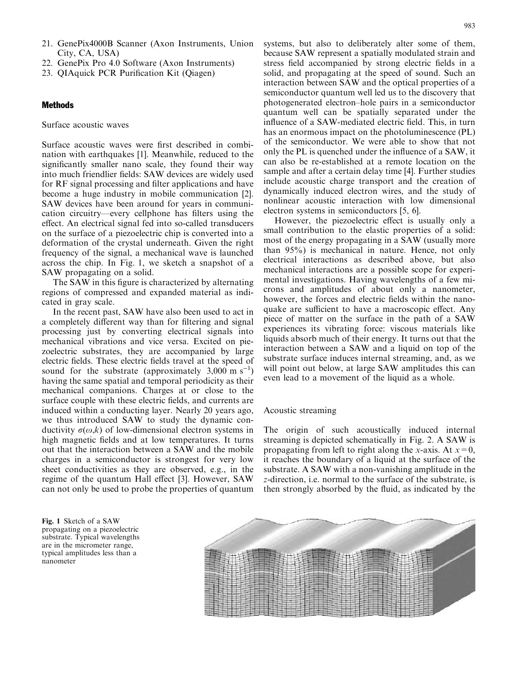- 21. GenePix4000B Scanner (Axon Instruments, Union City, CA, USA)
- 22. GenePix Pro 4.0 Software (Axon Instruments)
- 23. QIAquick PCR Purification Kit (Qiagen)

## Methods

Surface acoustic waves

Surface acoustic waves were first described in combination with earthquakes [1]. Meanwhile, reduced to the significantly smaller nano scale, they found their way into much friendlier fields: SAW devices are widely used for RF signal processing and filter applications and have become a huge industry in mobile communication [2]. SAW devices have been around for years in communication circuitry—every cellphone has filters using the effect. An electrical signal fed into so-called transducers on the surface of a piezoelectric chip is converted into a deformation of the crystal underneath. Given the right frequency of the signal, a mechanical wave is launched across the chip. In Fig. 1, we sketch a snapshot of a SAW propagating on a solid.

The SAW in this figure is characterized by alternating regions of compressed and expanded material as indicated in gray scale.

In the recent past, SAW have also been used to act in a completely different way than for filtering and signal processing just by converting electrical signals into mechanical vibrations and vice versa. Excited on piezoelectric substrates, they are accompanied by large electric fields. These electric fields travel at the speed of sound for the substrate (approximately  $3,000 \text{ m s}^{-1}$ ) having the same spatial and temporal periodicity as their mechanical companions. Charges at or close to the surface couple with these electric fields, and currents are induced within a conducting layer. Nearly 20 years ago, we thus introduced SAW to study the dynamic conductivity  $\sigma(\omega,k)$  of low-dimensional electron systems in high magnetic fields and at low temperatures. It turns out that the interaction between a SAW and the mobile charges in a semiconductor is strongest for very low sheet conductivities as they are observed, e.g., in the regime of the quantum Hall effect [3]. However, SAW can not only be used to probe the properties of quantum

Fig. 1 Sketch of a SAW propagating on a piezoelectric substrate. Typical wavelengths are in the micrometer range, typical amplitudes less than a nanometer

systems, but also to deliberately alter some of them, because SAW represent a spatially modulated strain and stress field accompanied by strong electric fields in a solid, and propagating at the speed of sound. Such an interaction between SAW and the optical properties of a semiconductor quantum well led us to the discovery that photogenerated electron–hole pairs in a semiconductor quantum well can be spatially separated under the influence of a SAW-mediated electric field. This, in turn has an enormous impact on the photoluminescence (PL) of the semiconductor. We were able to show that not only the PL is quenched under the influence of a SAW, it can also be re-established at a remote location on the sample and after a certain delay time [4]. Further studies include acoustic charge transport and the creation of dynamically induced electron wires, and the study of nonlinear acoustic interaction with low dimensional electron systems in semiconductors [5, 6].

However, the piezoelectric effect is usually only a small contribution to the elastic properties of a solid: most of the energy propagating in a SAW (usually more than 95%) is mechanical in nature. Hence, not only electrical interactions as described above, but also mechanical interactions are a possible scope for experimental investigations. Having wavelengths of a few microns and amplitudes of about only a nanometer, however, the forces and electric fields within the nanoquake are sufficient to have a macroscopic effect. Any piece of matter on the surface in the path of a SAW experiences its vibrating force: viscous materials like liquids absorb much of their energy. It turns out that the interaction between a SAW and a liquid on top of the substrate surface induces internal streaming, and, as we will point out below, at large SAW amplitudes this can even lead to a movement of the liquid as a whole.

# Acoustic streaming

The origin of such acoustically induced internal streaming is depicted schematically in Fig. 2. A SAW is propagating from left to right along the x-axis. At  $x=0$ , it reaches the boundary of a liquid at the surface of the substrate. A SAW with a non-vanishing amplitude in the z-direction, i.e. normal to the surface of the substrate, is then strongly absorbed by the fluid, as indicated by the

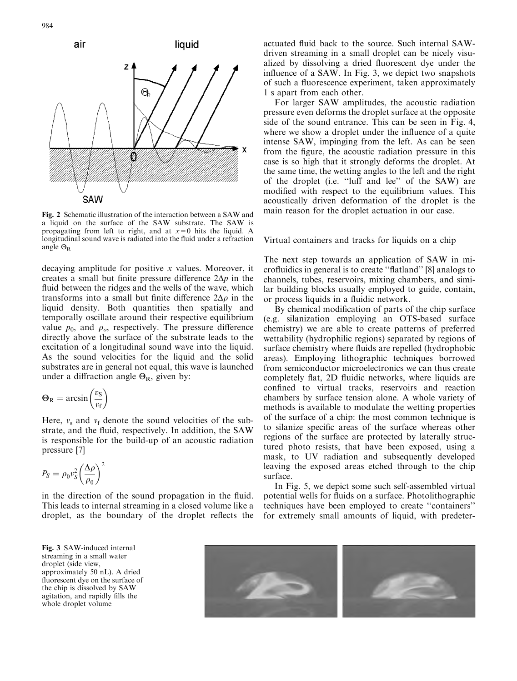

Fig. 2 Schematic illustration of the interaction between a SAW and a liquid on the surface of the SAW substrate. The SAW is propagating from left to right, and at  $x=0$  hits the liquid. A longitudinal sound wave is radiated into the fluid under a refraction angle  $\Theta_{\rm p}$ 

decaying amplitude for positive  $x$  values. Moreover, it creates a small but finite pressure difference  $2\Delta p$  in the fluid between the ridges and the wells of the wave, which transforms into a small but finite difference  $2\Delta\rho$  in the liquid density. Both quantities then spatially and temporally oscillate around their respective equilibrium value  $p_0$ , and  $\rho_o$ , respectively. The pressure difference directly above the surface of the substrate leads to the excitation of a longitudinal sound wave into the liquid. As the sound velocities for the liquid and the solid substrates are in general not equal, this wave is launched under a diffraction angle  $\Theta_R$ , given by:

$$
\Theta_{\rm R} = \arcsin\left(\frac{v_{\rm S}}{v_{\rm f}}\right)
$$

Here,  $v_s$  and  $v_f$  denote the sound velocities of the substrate, and the fluid, respectively. In addition, the SAW is responsible for the build-up of an acoustic radiation pressure [7]

$$
P_S = \rho_0 v_S^2 \left(\frac{\Delta \rho}{\rho_0}\right)^2
$$

in the direction of the sound propagation in the fluid. This leads to internal streaming in a closed volume like a droplet, as the boundary of the droplet reflects the

actuated fluid back to the source. Such internal SAWdriven streaming in a small droplet can be nicely visualized by dissolving a dried fluorescent dye under the influence of a SAW. In Fig. 3, we depict two snapshots of such a fluorescence experiment, taken approximately 1 s apart from each other.

For larger SAW amplitudes, the acoustic radiation pressure even deforms the droplet surface at the opposite side of the sound entrance. This can be seen in Fig. 4, where we show a droplet under the influence of a quite intense SAW, impinging from the left. As can be seen from the figure, the acoustic radiation pressure in this case is so high that it strongly deforms the droplet. At the same time, the wetting angles to the left and the right of the droplet (i.e. ''luff and lee'' of the SAW) are modified with respect to the equilibrium values. This acoustically driven deformation of the droplet is the main reason for the droplet actuation in our case.

#### Virtual containers and tracks for liquids on a chip

The next step towards an application of SAW in microfluidics in general is to create ''flatland'' [8] analogs to channels, tubes, reservoirs, mixing chambers, and similar building blocks usually employed to guide, contain, or process liquids in a fluidic network.

By chemical modification of parts of the chip surface (e.g. silanization employing an OTS-based surface chemistry) we are able to create patterns of preferred wettability (hydrophilic regions) separated by regions of surface chemistry where fluids are repelled (hydrophobic areas). Employing lithographic techniques borrowed from semiconductor microelectronics we can thus create completely flat, 2D fluidic networks, where liquids are confined to virtual tracks, reservoirs and reaction chambers by surface tension alone. A whole variety of methods is available to modulate the wetting properties of the surface of a chip: the most common technique is to silanize specific areas of the surface whereas other regions of the surface are protected by laterally structured photo resists, that have been exposed, using a mask, to UV radiation and subsequently developed leaving the exposed areas etched through to the chip surface.

In Fig. 5, we depict some such self-assembled virtual potential wells for fluids on a surface. Photolithographic techniques have been employed to create ''containers'' for extremely small amounts of liquid, with predeter-

Fig. 3 SAW-induced internal streaming in a small water droplet (side view, approximately 50 nL). A dried fluorescent dye on the surface of the chip is dissolved by SAW agitation, and rapidly fills the whole droplet volume

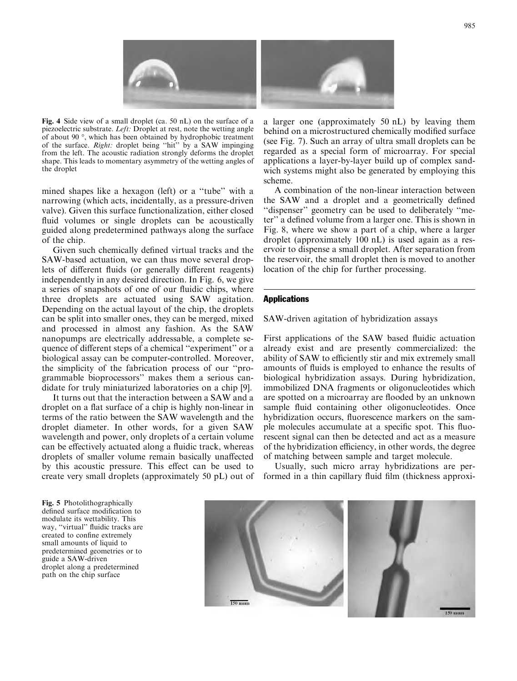

Fig. 4 Side view of a small droplet (ca. 50 nL) on the surface of a piezoelectric substrate. Left: Droplet at rest, note the wetting angle of about 90 °, which has been obtained by hydrophobic treatment of the surface. Right: droplet being "hit" by a SAW impinging from the left. The acoustic radiation strongly deforms the droplet shape. This leads to momentary asymmetry of the wetting angles of the droplet

mined shapes like a hexagon (left) or a ''tube'' with a narrowing (which acts, incidentally, as a pressure-driven valve). Given this surface functionalization, either closed fluid volumes or single droplets can be acoustically guided along predetermined pathways along the surface of the chip.

Given such chemically defined virtual tracks and the SAW-based actuation, we can thus move several droplets of different fluids (or generally different reagents) independently in any desired direction. In Fig. 6, we give a series of snapshots of one of our fluidic chips, where three droplets are actuated using SAW agitation. Depending on the actual layout of the chip, the droplets can be split into smaller ones, they can be merged, mixed and processed in almost any fashion. As the SAW nanopumps are electrically addressable, a complete sequence of different steps of a chemical ''experiment'' or a biological assay can be computer-controlled. Moreover, the simplicity of the fabrication process of our ''programmable bioprocessors'' makes them a serious candidate for truly miniaturized laboratories on a chip [9].

It turns out that the interaction between a SAW and a droplet on a flat surface of a chip is highly non-linear in terms of the ratio between the SAW wavelength and the droplet diameter. In other words, for a given SAW wavelength and power, only droplets of a certain volume can be effectively actuated along a fluidic track, whereas droplets of smaller volume remain basically unaffected by this acoustic pressure. This effect can be used to create very small droplets (approximately 50 pL) out of

Fig. 5 Photolithographically defined surface modification to modulate its wettability. This way, ''virtual'' fluidic tracks are created to confine extremely small amounts of liquid to predetermined geometries or to guide a SAW-driven droplet along a predetermined path on the chip surface

a larger one (approximately 50 nL) by leaving them behind on a microstructured chemically modified surface (see Fig. 7). Such an array of ultra small droplets can be regarded as a special form of microarray. For special applications a layer-by-layer build up of complex sandwich systems might also be generated by employing this scheme.

A combination of the non-linear interaction between the SAW and a droplet and a geometrically defined ''dispenser'' geometry can be used to deliberately ''meter'' a defined volume from a larger one. This is shown in Fig. 8, where we show a part of a chip, where a larger droplet (approximately 100 nL) is used again as a reservoir to dispense a small droplet. After separation from the reservoir, the small droplet then is moved to another location of the chip for further processing.

# **Applications**

SAW-driven agitation of hybridization assays

First applications of the SAW based fluidic actuation already exist and are presently commercialized: the ability of SAW to efficiently stir and mix extremely small amounts of fluids is employed to enhance the results of biological hybridization assays. During hybridization, immobilized DNA fragments or oligonucleotides which are spotted on a microarray are flooded by an unknown sample fluid containing other oligonucleotides. Once hybridization occurs, fluorescence markers on the sample molecules accumulate at a specific spot. This fluorescent signal can then be detected and act as a measure of the hybridization efficiency, in other words, the degree of matching between sample and target molecule.

Usually, such micro array hybridizations are performed in a thin capillary fluid film (thickness approxi-

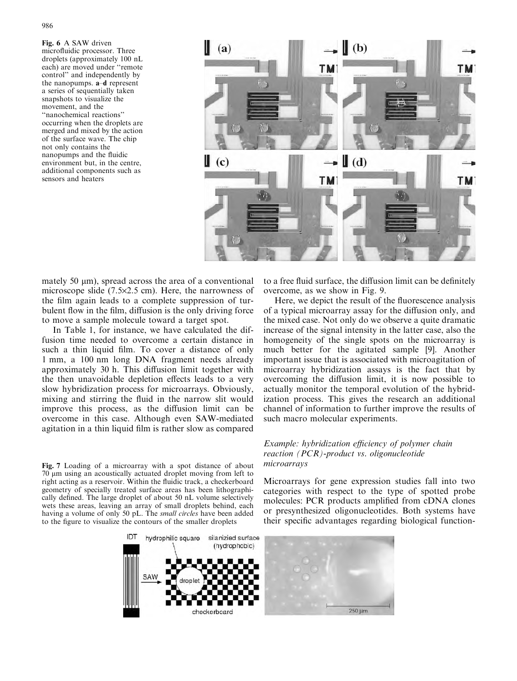Fig. 6 A SAW driven microfluidic processor. Three droplets (approximately 100 nL each) are moved under ''remote control'' and independently by the nanopumps. a–d represent a series of sequentially taken snapshots to visualize the movement, and the ''nanochemical reactions'' occurring when the droplets are merged and mixed by the action of the surface wave. The chip not only contains the nanopumps and the fluidic environment but, in the centre, additional components such as sensors and heaters



mately 50  $\mu$ m), spread across the area of a conventional microscope slide (7.5×2.5 cm). Here, the narrowness of the film again leads to a complete suppression of turbulent flow in the film, diffusion is the only driving force to move a sample molecule toward a target spot.

In Table 1, for instance, we have calculated the diffusion time needed to overcome a certain distance in such a thin liquid film. To cover a distance of only 1 mm, a 100 nm long DNA fragment needs already approximately 30 h. This diffusion limit together with the then unavoidable depletion effects leads to a very slow hybridization process for microarrays. Obviously, mixing and stirring the fluid in the narrow slit would improve this process, as the diffusion limit can be overcome in this case. Although even SAW-mediated agitation in a thin liquid film is rather slow as compared

Fig. 7 Loading of a microarray with a spot distance of about 70 lm using an acoustically actuated droplet moving from left to right acting as a reservoir. Within the fluidic track, a checkerboard geometry of specially treated surface areas has been lithographically defined. The large droplet of about 50 nL volume selectively wets these areas, leaving an array of small droplets behind, each having a volume of only 50 pL. The small circles have been added to the figure to visualize the contours of the smaller droplets

to a free fluid surface, the diffusion limit can be definitely overcome, as we show in Fig. 9.

Here, we depict the result of the fluorescence analysis of a typical microarray assay for the diffusion only, and the mixed case. Not only do we observe a quite dramatic increase of the signal intensity in the latter case, also the homogeneity of the single spots on the microarray is much better for the agitated sample [9]. Another important issue that is associated with microagitation of microarray hybridization assays is the fact that by overcoming the diffusion limit, it is now possible to actually monitor the temporal evolution of the hybridization process. This gives the research an additional channel of information to further improve the results of such macro molecular experiments.

## Example: hybridization efficiency of polymer chain reaction (PCR)-product vs. oligonucleotide microarrays

Microarrays for gene expression studies fall into two categories with respect to the type of spotted probe molecules: PCR products amplified from cDNA clones or presynthesized oligonucleotides. Both systems have their specific advantages regarding biological function-

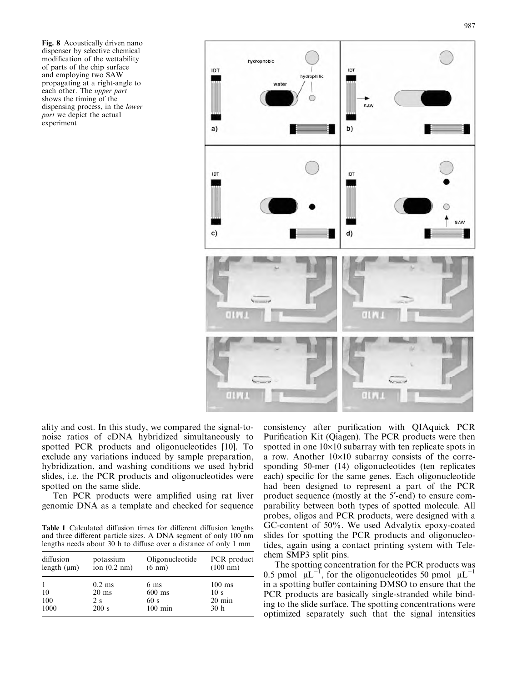Fig. 8 Acoustically driven nano dispenser by selective chemical modification of the wettability of parts of the chip surface and employing two SAW propagating at a right-angle to each other. The upper part shows the timing of the dispensing process, in the lower part we depict the actual experiment



ality and cost. In this study, we compared the signal-tonoise ratios of cDNA hybridized simultaneously to spotted PCR products and oligonucleotides [10]. To exclude any variations induced by sample preparation, hybridization, and washing conditions we used hybrid slides, i.e. the PCR products and oligonucleotides were spotted on the same slide.

Ten PCR products were amplified using rat liver genomic DNA as a template and checked for sequence

Table 1 Calculated diffusion times for different diffusion lengths and three different particle sizes. A DNA segment of only 100 nm lengths needs about 30 h to diffuse over a distance of only 1 mm

| diffusion        | potassium              | Oligonucleotide  | PCR product        |
|------------------|------------------------|------------------|--------------------|
| length $(\mu m)$ | ion $(0.2 \text{ nm})$ | $(6 \text{ nm})$ | $(100 \text{ nm})$ |
| -1               | $0.2 \text{ ms}$       | 6 ms             | $100$ ms           |
| 10               | $20 \text{ ms}$        | $600$ ms         | 10 <sub>s</sub>    |
| 100              | 2 s                    | 60s              | $20 \text{ min}$   |
| 1000             | 200 s                  | $100$ min        | 30 <sub>h</sub>    |

consistency after purification with QIAquick PCR Purification Kit (Qiagen). The PCR products were then spotted in one  $10\times10$  subarray with ten replicate spots in a row. Another  $10\times10$  subarray consists of the corresponding 50-mer (14) oligonucleotides (ten replicates each) specific for the same genes. Each oligonucleotide had been designed to represent a part of the PCR product sequence (mostly at the 5'-end) to ensure comparability between both types of spotted molecule. All probes, oligos and PCR products, were designed with a GC-content of 50%. We used Advalytix epoxy-coated slides for spotting the PCR products and oligonucleotides, again using a contact printing system with Telechem SMP3 split pins.

The spotting concentration for the PCR products was 0.5 pmol  $\mu L^{-1}$ , for the oligonucleotides 50 pmol  $\mu L^{-1}$ in a spotting buffer containing DMSO to ensure that the PCR products are basically single-stranded while binding to the slide surface. The spotting concentrations were optimized separately such that the signal intensities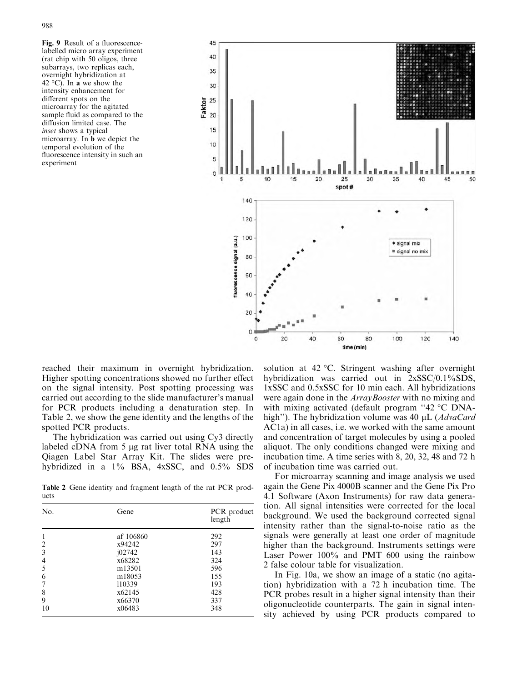Fig. 9 Result of a fluorescencelabelled micro array experiment (rat chip with 50 oligos, three subarrays, two replicas each, overnight hybridization at 42 °C). In **a** we show the intensity enhancement for different spots on the microarray for the agitated sample fluid as compared to the diffusion limited case. The inset shows a typical microarray. In **b** we depict the temporal evolution of the fluorescence intensity in such an experiment



reached their maximum in overnight hybridization. Higher spotting concentrations showed no further effect on the signal intensity. Post spotting processing was carried out according to the slide manufacturer's manual for PCR products including a denaturation step. In Table 2, we show the gene identity and the lengths of the spotted PCR products.

The hybridization was carried out using Cy3 directly labeled cDNA from 5 µg rat liver total RNA using the Qiagen Label Star Array Kit. The slides were prehybridized in a 1% BSA, 4xSSC, and 0.5% SDS

Table 2 Gene identity and fragment length of the rat PCR products

| No.            | Gene      | PCR product<br>length |  |  |  |  |
|----------------|-----------|-----------------------|--|--|--|--|
| 1              | af 106860 | 292                   |  |  |  |  |
| $\overline{2}$ | x94242    | 297                   |  |  |  |  |
| 3              | j02742    | 143                   |  |  |  |  |
| $\overline{4}$ | x68282    | 324                   |  |  |  |  |
| 5              | m13501    | 596                   |  |  |  |  |
| 6              | m18053    | 155                   |  |  |  |  |
| 7              | 110339    | 193                   |  |  |  |  |
| 8              | x62145    | 428                   |  |  |  |  |
| 9              | x66370    | 337                   |  |  |  |  |
| 10             | x06483    | 348                   |  |  |  |  |

solution at 42 °C. Stringent washing after overnight hybridization was carried out in 2xSSC/0.1%SDS, 1xSSC and 0.5xSSC for 10 min each. All hybridizations were again done in the ArrayBooster with no mixing and with mixing activated (default program "42  $\rm{°C}$  DNAhigh"). The hybridization volume was 40  $\mu$ L (*AdvaCard* AC1a) in all cases, i.e. we worked with the same amount and concentration of target molecules by using a pooled aliquot. The only conditions changed were mixing and incubation time. A time series with 8, 20, 32, 48 and 72 h of incubation time was carried out.

For microarray scanning and image analysis we used again the Gene Pix 4000B scanner and the Gene Pix Pro 4.1 Software (Axon Instruments) for raw data generation. All signal intensities were corrected for the local background. We used the background corrected signal intensity rather than the signal-to-noise ratio as the signals were generally at least one order of magnitude higher than the background. Instruments settings were Laser Power 100% and PMT 600 using the rainbow 2 false colour table for visualization.

In Fig. 10a, we show an image of a static (no agitation) hybridization with a 72 h incubation time. The PCR probes result in a higher signal intensity than their oligonucleotide counterparts. The gain in signal intensity achieved by using PCR products compared to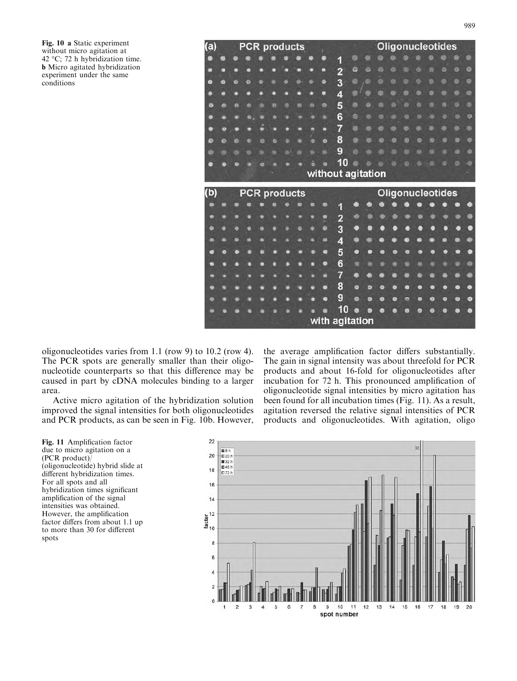Fig. 10 a Static experiment without micro agitation at 42  $\degree$ C; 72 h hybridization time. b Micro agitated hybridization experiment under the same conditions

| (a)       |  |   | <b>PCR</b> products |   |           |                         |   |  |  |  | <b>Oligonucleotides</b> |   |
|-----------|--|---|---------------------|---|-----------|-------------------------|---|--|--|--|-------------------------|---|
|           |  |   |                     |   |           | 1                       |   |  |  |  |                         |   |
|           |  |   |                     |   |           | $\overline{2}$          |   |  |  |  |                         | ø |
| ۰         |  |   |                     |   |           | $\overline{\mathbf{3}}$ | ø |  |  |  |                         |   |
|           |  |   |                     |   |           | 4                       |   |  |  |  |                         |   |
| o         |  |   |                     |   |           | 5                       |   |  |  |  |                         |   |
| ۰         |  |   |                     |   |           | $6\phantom{1}$          |   |  |  |  |                         | Θ |
| B         |  |   |                     |   |           | 7                       |   |  |  |  |                         |   |
| $\bullet$ |  |   |                     | ö | $\bullet$ | 8                       |   |  |  |  |                         |   |
| ø         |  |   |                     |   |           | 9                       |   |  |  |  |                         |   |
| $\bullet$ |  |   |                     |   |           | 10                      |   |  |  |  |                         |   |
|           |  |   |                     |   |           | without agitation       |   |  |  |  |                         |   |
|           |  |   |                     |   |           |                         |   |  |  |  |                         |   |
|           |  |   |                     |   |           |                         |   |  |  |  |                         |   |
| (b)       |  |   | <b>PCR</b> products |   |           |                         |   |  |  |  | <b>Oligonucleotides</b> |   |
|           |  |   |                     |   |           | 1                       |   |  |  |  |                         |   |
|           |  |   |                     |   |           | 2                       |   |  |  |  |                         |   |
|           |  |   |                     |   |           | 3                       |   |  |  |  |                         |   |
|           |  | G |                     |   | Θ         | 4                       |   |  |  |  |                         |   |
|           |  |   |                     |   |           | 5                       |   |  |  |  |                         |   |
|           |  |   |                     |   |           | 6                       |   |  |  |  |                         |   |
|           |  |   |                     |   |           | 7                       | ๑ |  |  |  |                         |   |
|           |  |   |                     |   |           | 8                       | ø |  |  |  |                         |   |
|           |  |   |                     |   |           | 9<br>10                 |   |  |  |  |                         |   |

oligonucleotides varies from 1.1 (row 9) to 10.2 (row 4). The PCR spots are generally smaller than their oligonucleotide counterparts so that this difference may be caused in part by cDNA molecules binding to a larger area.

Active micro agitation of the hybridization solution improved the signal intensities for both oligonucleotides and PCR products, as can be seen in Fig. 10b. However, the average amplification factor differs substantially. The gain in signal intensity was about threefold for PCR products and about 16-fold for oligonucleotides after incubation for 72 h. This pronounced amplification of oligonucleotide signal intensities by micro agitation has been found for all incubation times (Fig. 11). As a result, agitation reversed the relative signal intensities of PCR products and oligonucleotides. With agitation, oligo

Fig. 11 Amplification factor due to micro agitation on a (PCR product)/ (oligonucleotide) hybrid slide at different hybridization times. For all spots and all hybridization times significant amplification of the signal intensities was obtained. However, the amplification factor differs from about 1.1 up to more than 30 for different spots

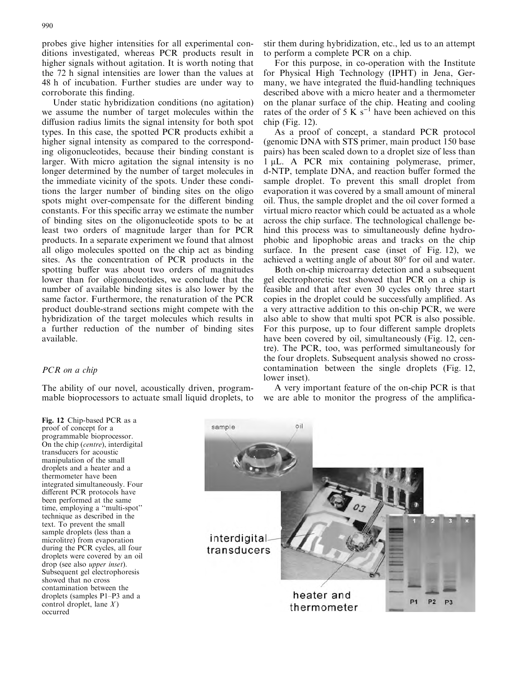probes give higher intensities for all experimental conditions investigated, whereas PCR products result in higher signals without agitation. It is worth noting that the 72 h signal intensities are lower than the values at 48 h of incubation. Further studies are under way to corroborate this finding.

Under static hybridization conditions (no agitation) we assume the number of target molecules within the diffusion radius limits the signal intensity for both spot types. In this case, the spotted PCR products exhibit a higher signal intensity as compared to the corresponding oligonucleotides, because their binding constant is larger. With micro agitation the signal intensity is no longer determined by the number of target molecules in the immediate vicinity of the spots. Under these conditions the larger number of binding sites on the oligo spots might over-compensate for the different binding constants. For this specific array we estimate the number of binding sites on the oligonucleotide spots to be at least two orders of magnitude larger than for PCR products. In a separate experiment we found that almost all oligo molecules spotted on the chip act as binding sites. As the concentration of PCR products in the spotting buffer was about two orders of magnitudes lower than for oligonucleotides, we conclude that the number of available binding sites is also lower by the same factor. Furthermore, the renaturation of the PCR product double-strand sections might compete with the hybridization of the target molecules which results in a further reduction of the number of binding sites available.

## PCR on a chip

The ability of our novel, acoustically driven, programmable bioprocessors to actuate small liquid droplets, to

stir them during hybridization, etc., led us to an attempt to perform a complete PCR on a chip.

For this purpose, in co-operation with the Institute for Physical High Technology (IPHT) in Jena, Germany, we have integrated the fluid-handling techniques described above with a micro heater and a thermometer on the planar surface of the chip. Heating and cooling rates of the order of 5 K  $s^{-1}$  have been achieved on this chip (Fig. 12).

As a proof of concept, a standard PCR protocol (genomic DNA with STS primer, main product 150 base pairs) has been scaled down to a droplet size of less than  $1 \mu L$ . A PCR mix containing polymerase, primer, d-NTP, template DNA, and reaction buffer formed the sample droplet. To prevent this small droplet from evaporation it was covered by a small amount of mineral oil. Thus, the sample droplet and the oil cover formed a virtual micro reactor which could be actuated as a whole across the chip surface. The technological challenge behind this process was to simultaneously define hydrophobic and lipophobic areas and tracks on the chip surface. In the present case (inset of Fig. 12), we achieved a wetting angle of about 80° for oil and water.

Both on-chip microarray detection and a subsequent gel electrophoretic test showed that PCR on a chip is feasible and that after even 30 cycles only three start copies in the droplet could be successfully amplified. As a very attractive addition to this on-chip PCR, we were also able to show that multi spot PCR is also possible. For this purpose, up to four different sample droplets have been covered by oil, simultaneously (Fig. 12, centre). The PCR, too, was performed simultaneously for the four droplets. Subsequent analysis showed no crosscontamination between the single droplets (Fig. 12, lower inset).

A very important feature of the on-chip PCR is that we are able to monitor the progress of the amplifica-

Fig. 12 Chip-based PCR as a proof of concept for a programmable bioprocessor. On the chip (centre), interdigital transducers for acoustic manipulation of the small droplets and a heater and a thermometer have been integrated simultaneously. Four different PCR protocols have been performed at the same time, employing a ''multi-spot'' technique as described in the text. To prevent the small sample droplets (less than a microlitre) from evaporation during the PCR cycles, all four droplets were covered by an oil drop (see also upper inset). Subsequent gel electrophoresis showed that no cross contamination between the droplets (samples P1–P3 and a control droplet, lane X) occurred